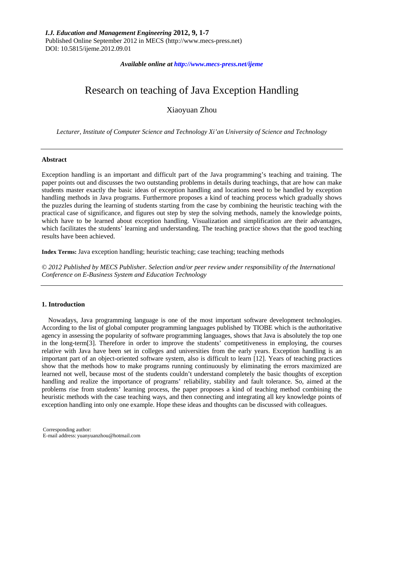## *Available online at http://www.mecs-press.net/ijeme*

# Research on teaching of Java Exception Handling

Xiaoyuan Zhou

*Lecturer, Institute of Computer Science and Technology Xi'an University of Science and Technology* 

#### **Abstract**

Exception handling is an important and difficult part of the Java programming's teaching and training. The paper points out and discusses the two outstanding problems in details during teachings, that are how can make students master exactly the basic ideas of exception handling and locations need to be handled by exception handling methods in Java programs. Furthermore proposes a kind of teaching process which gradually shows the puzzles during the learning of students starting from the case by combining the heuristic teaching with the practical case of significance, and figures out step by step the solving methods, namely the knowledge points, which have to be learned about exception handling. Visualization and simplification are their advantages, which facilitates the students' learning and understanding. The teaching practice shows that the good teaching results have been achieved.

**Index Terms:** Java exception handling; heuristic teaching; case teaching; teaching methods

*© 2012 Published by MECS Publisher. Selection and/or peer review under responsibility of the International Conference on E-Business System and Education Technology*

# **1. Introduction**

Nowadays, Java programming language is one of the most important software development technologies. According to the list of global computer programming languages published by TIOBE which is the authoritative agency in assessing the popularity of software programming languages, shows that Java is absolutely the top one in the long-term[3]. Therefore in order to improve the students' competitiveness in employing, the courses relative with Java have been set in colleges and universities from the early years. Exception handling is an important part of an object-oriented software system, also is difficult to learn [12]. Years of teaching practices show that the methods how to make programs running continuously by eliminating the errors maximized are learned not well, because most of the students couldn't understand completely the basic thoughts of exception handling and realize the importance of programs' reliability, stability and fault tolerance. So, aimed at the problems rise from students' learning process, the paper proposes a kind of teaching method combining the heuristic methods with the case teaching ways, and then connecting and integrating all key knowledge points of exception handling into only one example. Hope these ideas and thoughts can be discussed with colleagues.

Corresponding author: E-mail address: yuanyuanzhou@hotmail.com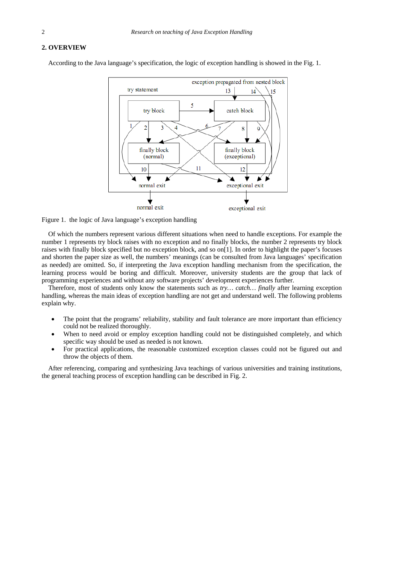# **2. OVERVIEW**

According to the Java language's specification, the logic of exception handling is showed in the Fig. 1.



Figure 1. the logic of Java language's exception handling

Of which the numbers represent various different situations when need to handle exceptions. For example the number 1 represents try block raises with no exception and no finally blocks, the number 2 represents try block raises with finally block specified but no exception block, and so on[1]. In order to highlight the paper's focuses and shorten the paper size as well, the numbers' meanings (can be consulted from Java languages' specification as needed) are omitted. So, if interpreting the Java exception handling mechanism from the specification, the learning process would be boring and difficult. Moreover, university students are the group that lack of programming experiences and without any software projects' development experiences further.

Therefore, most of students only know the statements such as *try… catch… finally* after learning exception handling, whereas the main ideas of exception handling are not get and understand well. The following problems explain why.

- The point that the programs' reliability, stability and fault tolerance are more important than efficiency could not be realized thoroughly.
- When to need avoid or employ exception handling could not be distinguished completely, and which specific way should be used as needed is not known.
- For practical applications, the reasonable customized exception classes could not be figured out and throw the objects of them.

After referencing, comparing and synthesizing Java teachings of various universities and training institutions, the general teaching process of exception handling can be described in Fig. 2.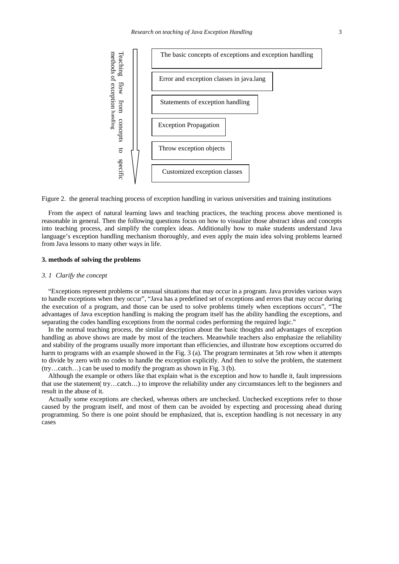

Figure 2. the general teaching process of exception handling in various universities and training institutions

From the aspect of natural learning laws and teaching practices, the teaching process above mentioned is reasonable in general. Then the following questions focus on how to visualize those abstract ideas and concepts into teaching process, and simplify the complex ideas. Additionally how to make students understand Java language's exception handling mechanism thoroughly, and even apply the main idea solving problems learned from Java lessons to many other ways in life.

# **3. methods of solving the problems**

#### *3. 1 Clarify the concept*

"Exceptions represent problems or unusual situations that may occur in a program. Java provides various ways to handle exceptions when they occur", "Java has a predefined set of exceptions and errors that may occur during the execution of a program, and those can be used to solve problems timely when exceptions occurs", "The advantages of Java exception handling is making the program itself has the ability handling the exceptions, and separating the codes handling exceptions from the normal codes performing the required logic."

In the normal teaching process, the similar description about the basic thoughts and advantages of exception handling as above shows are made by most of the teachers. Meanwhile teachers also emphasize the reliability and stability of the programs usually more important than efficiencies, and illustrate how exceptions occurred do harm to programs with an example showed in the Fig. 3 (a). The program terminates at 5th row when it attempts to divide by zero with no codes to handle the exception explicitly. And then to solve the problem, the statement (try…catch…) can be used to modify the program as shown in Fig. 3 (b).

Although the example or others like that explain what is the exception and how to handle it, fault impressions that use the statement( try…catch…) to improve the reliability under any circumstances left to the beginners and result in the abuse of it.

Actually some exceptions are checked, whereas others are unchecked. Unchecked exceptions refer to those caused by the program itself, and most of them can be avoided by expecting and processing ahead during programming. So there is one point should be emphasized, that is, exception handling is not necessary in any cases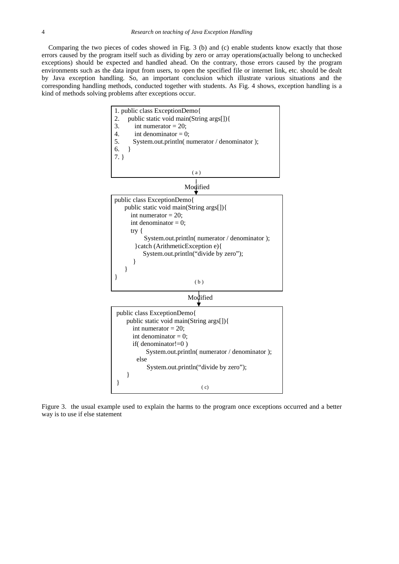Comparing the two pieces of codes showed in Fig. 3 (b) and (c) enable students know exactly that those errors caused by the program itself such as dividing by zero or array operations(actually belong to unchecked exceptions) should be expected and handled ahead. On the contrary, those errors caused by the program environments such as the data input from users, to open the specified file or internet link, etc. should be dealt by Java exception handling. So, an important conclusion which illustrate various situations and the corresponding handling methods, conducted together with students. As Fig. 4 shows, exception handling is a kind of methods solving problems after exceptions occur.



Figure 3. the usual example used to explain the harms to the program once exceptions occurred and a better way is to use if else statement

 $\}$  (c)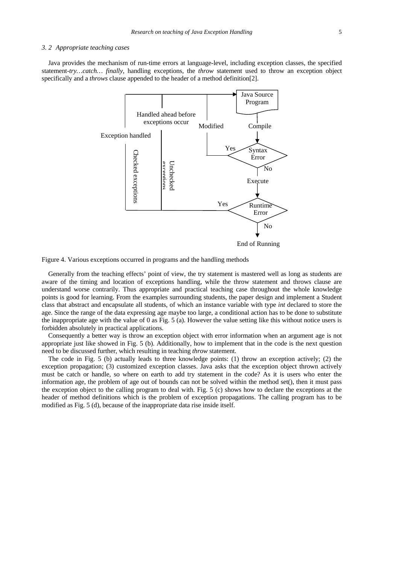# *3. 2 Appropriate teaching cases*

Java provides the mechanism of run-time errors at language-level, including exception classes, the specified statement-*try…catch… finally*, handling exceptions, the *throw* statement used to throw an exception object specifically and a *throws* clause appended to the header of a method definition[2].



Figure 4. Various exceptions occurred in programs and the handling methods

Generally from the teaching effects' point of view, the try statement is mastered well as long as students are aware of the timing and location of exceptions handling, while the throw statement and throws clause are understand worse contrarily. Thus appropriate and practical teaching case throughout the whole knowledge points is good for learning. From the examples surrounding students, the paper design and implement a Student class that abstract and encapsulate all students, of which an instance variable with type *int* declared to store the age. Since the range of the data expressing age maybe too large, a conditional action has to be done to substitute the inappropriate age with the value of 0 as Fig.  $5$  (a). However the value setting like this without notice users is forbidden absolutely in practical applications.

Consequently a better way is throw an exception object with error information when an argument age is not appropriate just like showed in Fig. 5 (b). Additionally, how to implement that in the code is the next question need to be discussed further, which resulting in teaching *throw* statement.

The code in Fig. 5 (b) actually leads to three knowledge points: (1) throw an exception actively; (2) the exception propagation; (3) customized exception classes. Java asks that the exception object thrown actively must be catch or handle, so where on earth to add try statement in the code? As it is users who enter the information age, the problem of age out of bounds can not be solved within the method set(), then it must pass the exception object to the calling program to deal with. Fig. 5 (c) shows how to declare the exceptions at the header of method definitions which is the problem of exception propagations. The calling program has to be modified as Fig. 5 (d), because of the inappropriate data rise inside itself.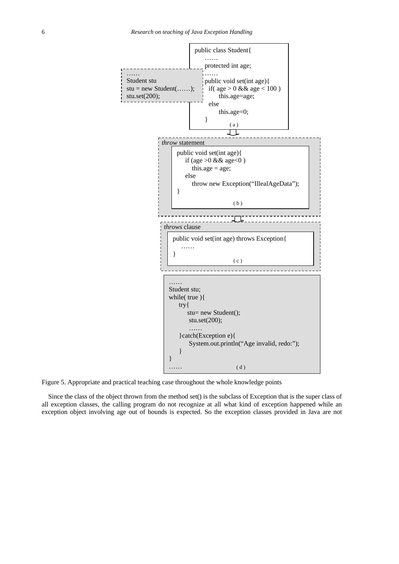

Figure 5. Appropriate and practical teaching case throughout the whole knowledge points

Since the class of the object thrown from the method set() is the subclass of Exception that is the super class of all exception classes, the calling program do not recognize at all what kind of exception happened while an exception object involving age out of bounds is expected. So the exception classes provided in Java are not